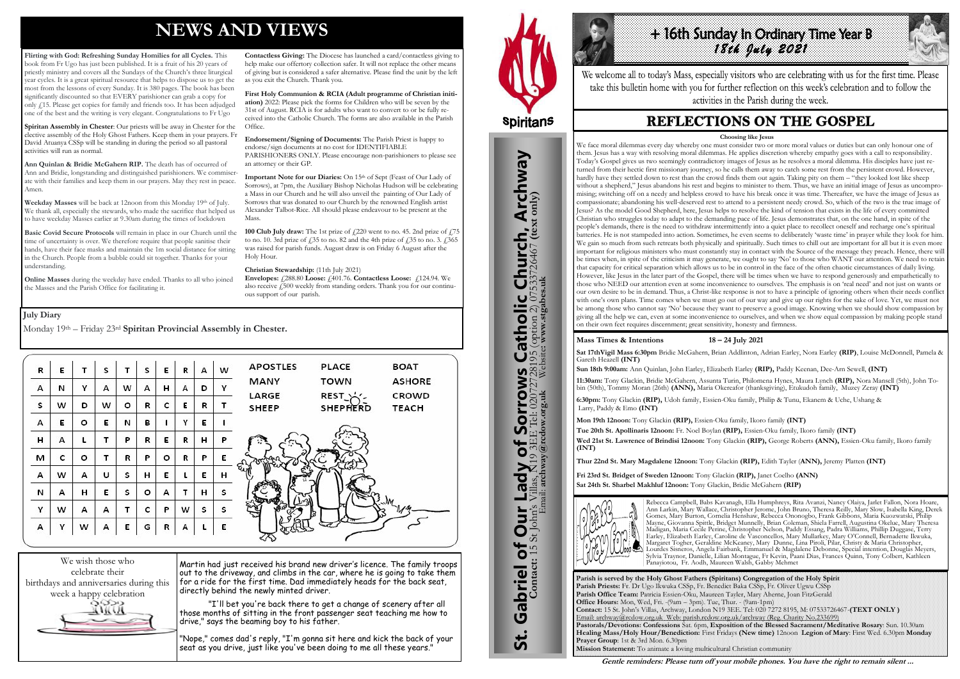# **NEWS AND VIEWS**

**Flirting with God: Refreshing Sunday Homilies for all Cycles.** This book from Fr Ugo has just been published. It is a fruit of his 20 years of priestly ministry and covers all the Sundays of the Church's three liturgical year cycles. It is a great spiritual resource that helps to dispose us to get the most from the lessons of every Sunday. It is 380 pages. The book has been significantly discounted so that EVERY parishioner can grab a copy for only £15. Please get copies for family and friends too. It has been adjudged one of the best and the writing is very elegant. Congratulations to Fr Ugo

**Spiritan Assembly in Chester**: Our priests will be away in Chester for the elective assembly of the Holy Ghost Fathers. Keep them in your prayers. Fr David Atuanya CSSp will be standing in during the period so all pastoral activities will run as normal.

**Ann Quinlan & Bridie McGahern RIP.** The death has of occurred of Ann and Bridie, longstanding and distinguished parishioners. We commiserate with their families and keep them in our prayers. May they rest in peace. Amen.

**Weekday Masses** will be back at 12noon from this Monday 19th of July. We thank all, especially the stewards, who made the sacrifice that helped us to have weekday Masses earlier at 9.30am during the times of lockdown

Important Note for our Diaries: On 15<sup>th</sup> of Sept (Feast of Our Lady of Sorrows), at 7pm, the Auxiliary Bishop Nicholas Hudson will be celebrating a Mass in our Church and he will also unveil the painting of Our Lady of Sorrows that was donated to our Church by the renowned English artist Alexander Talbot-Rice. All should please endeavour to be present at the Mass.

**Basic Covid Secure Protocols** will remain in place in our Church until the time of uncertainty is over. We therefore require that people sanitise their hands, have their face masks and maintain the 1m social distance for sitting in the Church. People from a bubble could sit together. Thanks for your understanding.

**100 Club July draw:** The 1st prize of  $\ell$  220 went to no. 45. 2nd prize of  $\ell$ 75 to no. 10. 3rd prize of  $\sqrt{25}$  to no. 82 and the 4th prize of  $\sqrt{25}$  to no. 3.  $\sqrt{265}$ was raised for parish funds. August draw is on Friday 6 August after the Holy Hour.

**Envelopes:**  $\angle$ 288.80 **Loose:**  $\angle$ 401.76. **Contactless Loose:**  $\angle$  124.94. We also receive  $\widetilde{\ell}500$  weekly from standing orders. Thank you for our continuous support of our parish.

**Online Masses** during the weekday have ended. Thanks to all who joined the Masses and the Parish Office for facilitating it.

**Contactless Giving:** The Diocese has launched a card/contactless giving to help make our offertory collection safer. It will not replace the other means of giving but is considered a safer alternative. Please find the unit by the left as you exit the Church. Thank you.

"Nope," comes dad's reply, "I'm gonna sit here and kick the back of your seat as you drive, just like you've been doing to me all these years.'



St. Gabriel of Our Lady of Sorrows Catholic Church, Archway

Our Lady of

Gabriel of Our

<u>ჭ</u>

Sorrows<br>E Tel: 020727281

**S Catholic Church, Archway**<br>28195 (option 2) 07533726467 (text only)

## **High Sunday In Ordinary Time Year B** *18th July 2021*

We welcome all to today's Mass, especially visitors who are celebrating with us for the first time. Please take this bulletin home with you for further reflection on this week's celebration and to follow the activities in the Parish during the week.

### **REFLECTIONS ON THE GOSPEL**

**First Holy Communion & RCIA (Adult programme of Christian initiation)** 2022: Please pick the forms for Children who will be seven by the 31st of August. RCIA is for adults who want to convert to or be fully received into the Catholic Church. The forms are also available in the Parish Office.

**Endorsement/Signing of Documents:** The Parish Priest is happy to endorse/sign documents at no cost for IDENTIFIABLE PARISHIONERS ONLY. Please encourage non-parishioners to please see an attorney or their GP.

**Christian Stewardship:** (11th July 2021)

We wish those who celebrate their birthdays and anniversaries during this week a happy celebration

Martin had just received his brand new driver's licence. The family troops out to the driveway, and climbs in the car, where he is going to take them for a ride for the first time. Dad immediately heads for the back seat, directly behind the newly minted driver.

 "I'll bet you're back there to get a change of scenery after all those months of sitting in the front passenger seat teaching me how to drive," says the beaming boy to his father.

#### **July Diary**

Monday 19th – Friday 23rd **Spiritan Provincial Assembly in Chester.** 

| R | E | т | s | т       | s | E | R | А | w | <b>APOSTLES</b>       | <b>PLACE</b>              | <b>BOAT</b>           |
|---|---|---|---|---------|---|---|---|---|---|-----------------------|---------------------------|-----------------------|
| А | И | Υ | А | w       | А | н | А | D | Υ | MANY                  | <b>TOWN</b>               | <b>ASHORE</b>         |
| s | w | D | w | $\circ$ | R | c | Ε | R | т | LARGE<br><b>SHEEP</b> | REST X<br><b>SHEPHERD</b> | CROWD<br><b>TEACH</b> |
| А | Е | о | Ε | И       | в | 1 | Y | Е |   |                       |                           |                       |
| н | А | L | т | P       | R | E | R | н | P |                       |                           |                       |
| м | c | o | т | R       | P | o | R | Р | E |                       |                           |                       |
| А | w | А | U | s       | н | E |   | Е | н |                       |                           |                       |
| И | А | н | Ε | s       | o | А |   | н | S |                       |                           |                       |
| Υ | w | А | А | т       | c | Ρ | w | s | s |                       |                           | .M                    |
| А | Υ | w | А | Ε       | G | R | А |   | Ε |                       |                           |                       |

**Parish is served by the Holy Ghost Fathers (Spiritans) Congregation of the Holy Spirit Parish Priests:** Fr. Dr Ugo Ikwuka CSSp, Fr. Benedict Baka CSSp, Fr. Oliver Ugwu CSSp **Parish Office Team:** Patricia Essien-Oku, Maureen Tayler, Mary Aherne, Joan FitzGerald **Office Hours:** Mon, Wed, Fri. -(9am – 3pm). Tue, Thur. - (9am-1pm) **Contact:** 15 St. John's Villas, Archway, London N19 3EE. Tel: 020 7272 8195, M: 07533726467-**(TEXT ONLY )** Email: archway@rcdow.org.uk Web: parish.rcdow.org.uk/archway (Reg. Charity No.233699) **Pastorals/Devotions: Confessions** Sat. 6pm, **Exposition of the Blessed Sacrament/Meditative Rosary**: Sun. 10.30am **Healing Mass/Holy Hour/Benediction:** First Fridays **(New time)** 12noon **Legion of Mary**: First Wed. 6.30pm **Monday Prayer Group**: 1st & 3rd Mon. 6.30pm **Mission Statement:** To animate a loving multicultural Christian community

**Contact:** 15 St John's Villas, N19 3EE Tel: 02072728195 (option 2) 07533726467 **(text only)** Email: **archway@rcdow.org.uk** Website**: www.stgabes.uk**

i's Villas, K19 3EE Tel: 0207<br>Email: archway@redow.org.uk

#### **Mass Times & Intentions 18 – 24 July 2021**

**Sat 17thVigil Mass 6:30pm** Bridie McGahern, Brian Addlinton, Adrian Earley, Nora Earley **(RIP)**, Louise McDonnell, Pamela & Gareth Heazell **(INT)**

**Sun 18th 9:00am:** Ann Quinlan, John Earley, Elizabeth Earley **(RIP),** Paddy Keenan, Dee-Arn Sewell, **(INT)**

**11:30am:** Tony Glackin, Bridie McGahern, Assunta Turin, Philomena Hynes, Maura Lynch **(RIP),** Nora Mansell (5th), John Tobin (50th), Tommy Moran (26th) **(ANN),** Maria Okereafor (thanksgiving), Etukudoh family, Muzey Zeray **(INT)**

**6:30pm:** Tony Glackin **(RIP),** Udoh family, Essien-Oku family, Philip & Tunu, Ekanem & Uche, Ushang & Larry, Paddy & Emo **(INT)**

**Mon 19th 12noon:** Tony Glackin **(RIP),** Essien-Oku family, Ikoro family **(INT)** 

**Tue 20th St. Apollinaris 12noon:** Fr. Noel Boylan **(RIP),** Essien-Oku family, Ikoro family **(INT) Wed 21st St. Lawrence of Brindisi 12noon:** Tony Glackin **(RIP),** George Roberts **(ANN),** Essien-Oku family, Ikoro family **(INT)** 

**Thur 22nd St. Mary Magdalene 12noon:** Tony Glackin **(RIP),** Edith Tayler (**ANN),** Jeremy Platten **(INT)**

**Fri 23rd St. Bridget of Sweden 12noon:** Tony Glackin **(RIP),** Janet Coelho **(ANN) Sat 24th St. Sharbel Makhluf 12noon:** Tony Glackin, Bridie McGahern **(RIP)**



Rebecca Campbell, Babs Kavanagh, Ella Humphreys, Rita Avanzi, Nancy Olaiya, Jarlet Fallon, Nora Hoare, Ann Larkin, Mary Wallace, Christopher Jerome, John Bruno, Theresa Reilly, Mary Slow, Isabella King, Derek Gomes, Mary Burton, Cornelia Henshaw, Rebecca Ononogbo, Frank Gibbons, Maria Kuozwatski, Philip Mayne, Giovanna Spittle, Bridget Munnelly, Brian Coleman, Shiela Farrell, Augustina Okelue, Mary Theresa Madigan, Maria Cecile Perine, Christopher Nelson, Paddy Essang, Padra Williams, Phillip Duggase, Terry Earley, Elizabeth Earley, Caroline de Vasconcellos, Mary Mullarkey, Mary O'Connell, Bernadette Ikwuka, Margaret Togher, Geraldine McKeaney, Mary Dunne, Lina Piroli, Pilar, Christy & Maria Christopher, Lourdes Sisneros, Angela Fairbank, Emmanuel & Magdalene Debonne, Special intention, Douglas Meyers, Sylvia Traynor, Danielle, Lilian Montague, Fr Kevin, Paani Dias, Frances Quinn, Tony Colbert, Kathleen Panayiotou, Fr. Aodh, Maureen Walsh, Gabby Mehmet

**Gentle reminders: Please turn off your mobile phones. You have the right to remain silent ...** 

#### **Choosing like Jesus**

We face moral dilemmas every day whereby one must consider two or more moral values or duties but can only honour one of them. Jesus has a way with resolving moral dilemmas. He applies discretion whereby empathy goes with a call to responsibility. Today's Gospel gives us two seemingly contradictory images of Jesus as he resolves a moral dilemma. His disciples have just returned from their hectic first missionary journey, so he calls them away to catch some rest from the persistent crowd. However, hardly have they settled down to rest than the crowd finds them out again. Taking pity on them – "they looked lost like sheep without a shepherd," Jesus abandons his rest and begins to minister to them. Thus, we have an initial image of Jesus as uncompromising; switching off on a needy and helpless crowd to have his break once it was time. Thereafter, we have the image of Jesus as compassionate; abandoning his well-deserved rest to attend to a persistent needy crowd. So, which of the two is the true image of Jesus? As the model Good Shepherd, here, Jesus helps to resolve the kind of tension that exists in the life of every committed Christian who struggles today to adapt to the demanding pace of life. Jesus demonstrates that, on the one hand, in spite of the people's demands, there is the need to withdraw intermittently into a quiet place to recollect oneself and recharge one's spiritual batteries. He is not stampeded into action. Sometimes, he even seems to deliberately 'waste time' in prayer while they look for him. We gain so much from such retreats both physically and spiritually. Such times to chill out are important for all but it is even more important for religious ministers who must constantly stay in contact with the Source of the message they preach. Hence, there will be times when, in spite of the criticism it may generate, we ought to say 'No' to those who WANT our attention. We need to retain that capacity for critical separation which allows us to be in control in the face of the often chaotic circumstances of daily living. However, like Jesus in the later part of the Gospel, there will be times when we have to respond generously and empathetically to those who NEED our attention even at some inconvenience to ourselves. The emphasis is on 'real need' and not just on wants or our own desire to be in demand. Thus, a Christ-like response is not to have a principle of ignoring others when their needs conflict with one's own plans. Time comes when we must go out of our way and give up our rights for the sake of love. Yet, we must not be among those who cannot say 'No' because they want to preserve a good image. Knowing when we should show compassion by giving all the help we can, even at some inconvenience to ourselves, and when we show equal compassion by making people stand on their own feet requires discernment; great sensitivity, honesty and firmness.